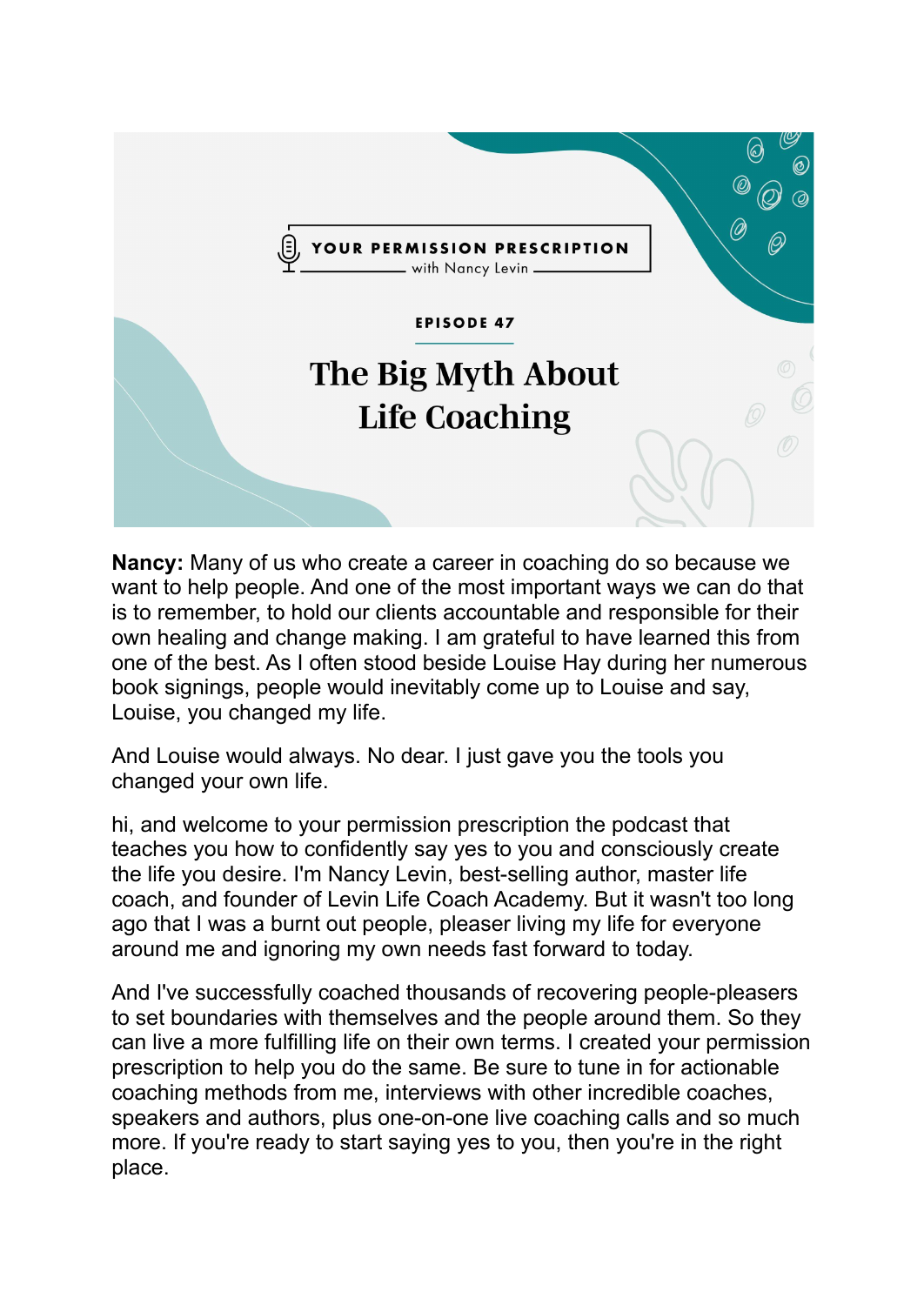

**Nancy:** Many of us who create a career in coaching do so because we want to help people. And one of the most important ways we can do that is to remember, to hold our clients accountable and responsible for their own healing and change making. I am grateful to have learned this from one of the best. As I often stood beside Louise Hay during her numerous book signings, people would inevitably come up to Louise and say, Louise, you changed my life.

And Louise would always. No dear. I just gave you the tools you changed your own life.

hi, and welcome to your permission prescription the podcast that teaches you how to confidently say yes to you and consciously create the life you desire. I'm Nancy Levin, best-selling author, master life coach, and founder of Levin Life Coach Academy. But it wasn't too long ago that I was a burnt out people, pleaser living my life for everyone around me and ignoring my own needs fast forward to today.

And I've successfully coached thousands of recovering people-pleasers to set boundaries with themselves and the people around them. So they can live a more fulfilling life on their own terms. I created your permission prescription to help you do the same. Be sure to tune in for actionable coaching methods from me, interviews with other incredible coaches, speakers and authors, plus one-on-one live coaching calls and so much more. If you're ready to start saying yes to you, then you're in the right place.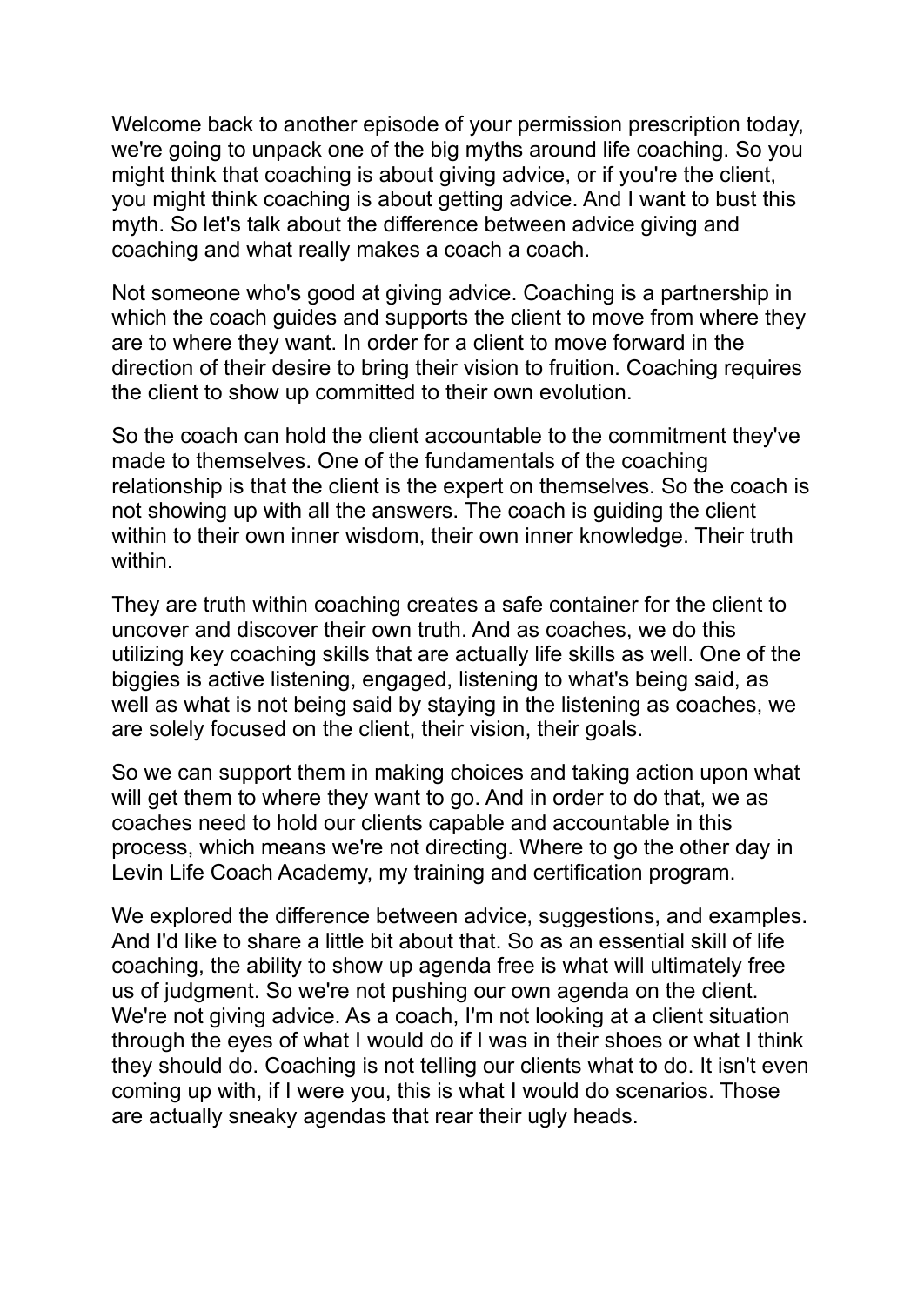Welcome back to another episode of your permission prescription today, we're going to unpack one of the big myths around life coaching. So you might think that coaching is about giving advice, or if you're the client, you might think coaching is about getting advice. And I want to bust this myth. So let's talk about the difference between advice giving and coaching and what really makes a coach a coach.

Not someone who's good at giving advice. Coaching is a partnership in which the coach quides and supports the client to move from where they are to where they want. In order for a client to move forward in the direction of their desire to bring their vision to fruition. Coaching requires the client to show up committed to their own evolution.

So the coach can hold the client accountable to the commitment they've made to themselves. One of the fundamentals of the coaching relationship is that the client is the expert on themselves. So the coach is not showing up with all the answers. The coach is guiding the client within to their own inner wisdom, their own inner knowledge. Their truth within.

They are truth within coaching creates a safe container for the client to uncover and discover their own truth. And as coaches, we do this utilizing key coaching skills that are actually life skills as well. One of the biggies is active listening, engaged, listening to what's being said, as well as what is not being said by staying in the listening as coaches, we are solely focused on the client, their vision, their goals.

So we can support them in making choices and taking action upon what will get them to where they want to go. And in order to do that, we as coaches need to hold our clients capable and accountable in this process, which means we're not directing. Where to go the other day in Levin Life Coach Academy, my training and certification program.

We explored the difference between advice, suggestions, and examples. And I'd like to share a little bit about that. So as an essential skill of life coaching, the ability to show up agenda free is what will ultimately free us of judgment. So we're not pushing our own agenda on the client. We're not giving advice. As a coach, I'm not looking at a client situation through the eyes of what I would do if I was in their shoes or what I think they should do. Coaching is not telling our clients what to do. It isn't even coming up with, if I were you, this is what I would do scenarios. Those are actually sneaky agendas that rear their ugly heads.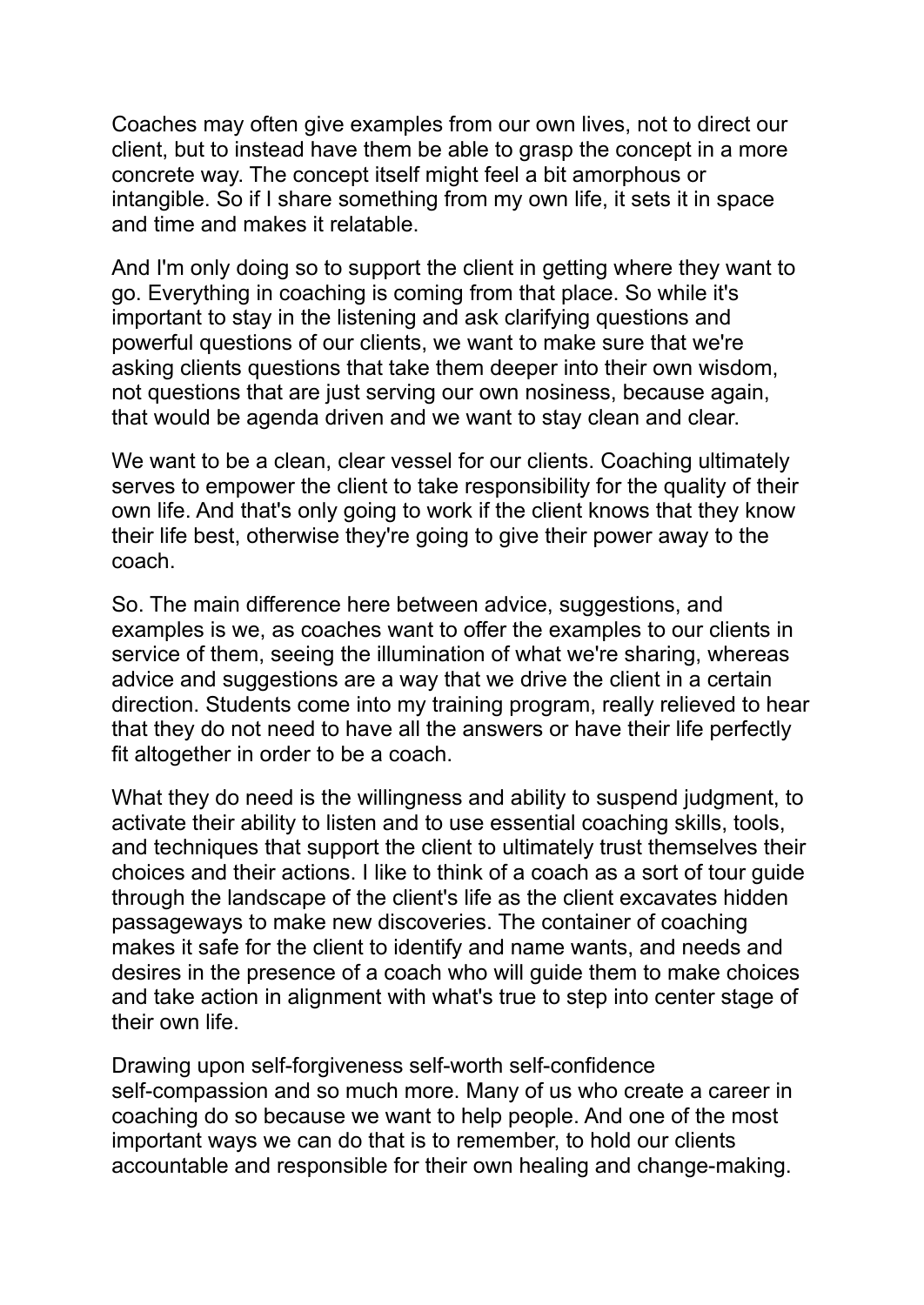Coaches may often give examples from our own lives, not to direct our client, but to instead have them be able to grasp the concept in a more concrete way. The concept itself might feel a bit amorphous or intangible. So if I share something from my own life, it sets it in space and time and makes it relatable.

And I'm only doing so to support the client in getting where they want to go. Everything in coaching is coming from that place. So while it's important to stay in the listening and ask clarifying questions and powerful questions of our clients, we want to make sure that we're asking clients questions that take them deeper into their own wisdom, not questions that are just serving our own nosiness, because again, that would be agenda driven and we want to stay clean and clear.

We want to be a clean, clear vessel for our clients. Coaching ultimately serves to empower the client to take responsibility for the quality of their own life. And that's only going to work if the client knows that they know their life best, otherwise they're going to give their power away to the coach.

So. The main difference here between advice, suggestions, and examples is we, as coaches want to offer the examples to our clients in service of them, seeing the illumination of what we're sharing, whereas advice and suggestions are a way that we drive the client in a certain direction. Students come into my training program, really relieved to hear that they do not need to have all the answers or have their life perfectly fit altogether in order to be a coach.

What they do need is the willingness and ability to suspend judgment, to activate their ability to listen and to use essential coaching skills, tools, and techniques that support the client to ultimately trust themselves their choices and their actions. I like to think of a coach as a sort of tour guide through the landscape of the client's life as the client excavates hidden passageways to make new discoveries. The container of coaching makes it safe for the client to identify and name wants, and needs and desires in the presence of a coach who will guide them to make choices and take action in alignment with what's true to step into center stage of their own life.

Drawing upon self-forgiveness self-worth self-confidence self-compassion and so much more. Many of us who create a career in coaching do so because we want to help people. And one of the most important ways we can do that is to remember, to hold our clients accountable and responsible for their own healing and change-making.